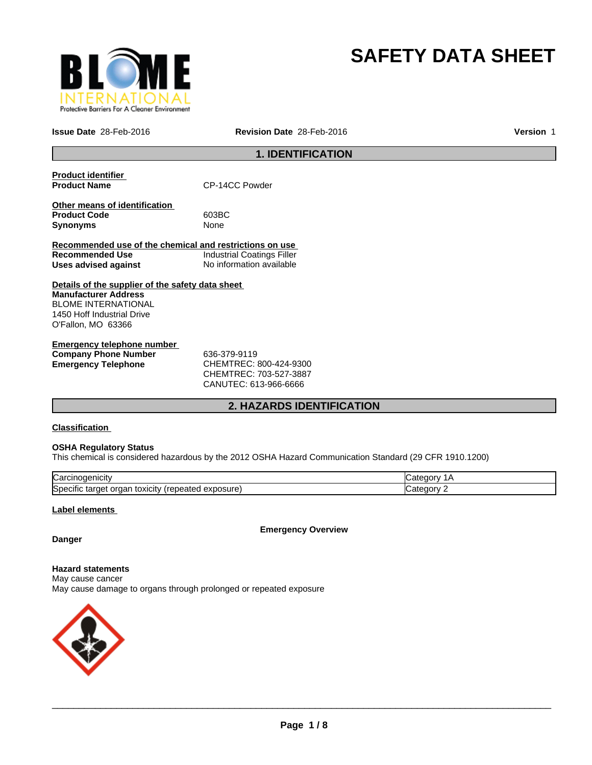

# **SAFETY DATA SHEET**

**Issue Date** 28-Feb-2016 **Revision Date** 28-Feb-2016

**Version** 1

# **1. IDENTIFICATION**

| <b>Product identifier</b><br><b>Product Name</b>        | CP-14CC Powder                    |
|---------------------------------------------------------|-----------------------------------|
|                                                         |                                   |
| Other means of identification                           |                                   |
| <b>Product Code</b>                                     | 603BC                             |
| <b>Synonyms</b>                                         | None                              |
|                                                         |                                   |
| Recommended use of the chemical and restrictions on use |                                   |
| Recommended Use                                         | <b>Industrial Coatings Filler</b> |
| Uses advised against                                    | No information available          |
| Details of the supplier of the safety data sheet        |                                   |
| <b>Manufacturer Address</b>                             |                                   |
| <b>BLOME INTERNATIONAL</b>                              |                                   |
|                                                         |                                   |
| 1450 Hoff Industrial Drive                              |                                   |
| O'Fallon, MO 63366                                      |                                   |
| For a same same talanda ana partsala an                 |                                   |
|                                                         |                                   |

| <b>Emergency telephone number</b> |                        |  |
|-----------------------------------|------------------------|--|
| <b>Company Phone Number</b>       | 636-379-9119           |  |
| <b>Emergency Telephone</b>        | CHEMTREC: 800-424-9300 |  |
|                                   | CHEMTREC: 703-527-3887 |  |

CANUTEC: 613-966-6666

# **2. HAZARDS IDENTIFICATION**

### **Classification**

#### **OSHA Regulatory Status**

This chemical is considered hazardous by the 2012 OSHA Hazard Communication Standard (29 CFR 1910.1200)

| ∽<br>lual                                                                            |  |
|--------------------------------------------------------------------------------------|--|
| <b>S</b> pe<br>osur<br>эню<br>eatec<br>targe<br><b>TOXICILY</b><br>Jа<br>58 U<br>. . |  |

### **Label elements**

**Emergency Overview**

# **Danger**

**Hazard statements** May cause cancer May cause damage to organs through prolonged or repeated exposure

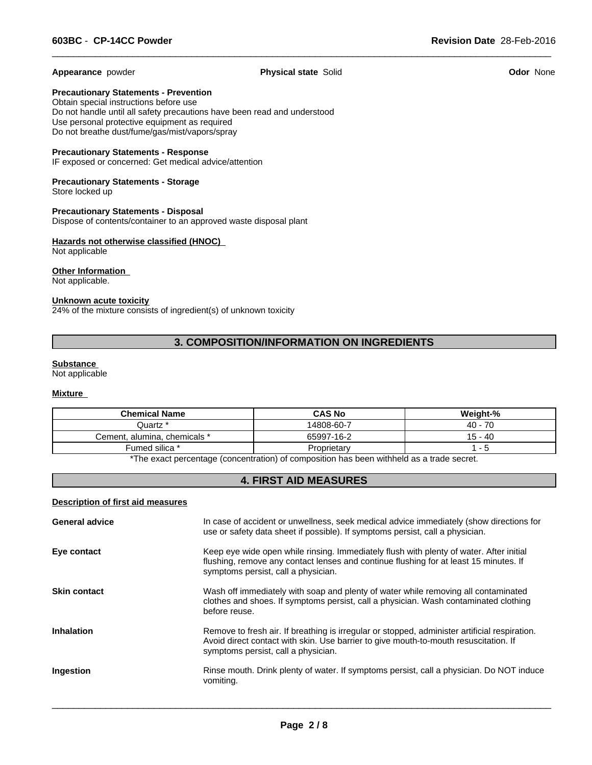**Appearance** powder **Physical state** Solid **Odor** None

 $\overline{\phantom{a}}$  ,  $\overline{\phantom{a}}$  ,  $\overline{\phantom{a}}$  ,  $\overline{\phantom{a}}$  ,  $\overline{\phantom{a}}$  ,  $\overline{\phantom{a}}$  ,  $\overline{\phantom{a}}$  ,  $\overline{\phantom{a}}$  ,  $\overline{\phantom{a}}$  ,  $\overline{\phantom{a}}$  ,  $\overline{\phantom{a}}$  ,  $\overline{\phantom{a}}$  ,  $\overline{\phantom{a}}$  ,  $\overline{\phantom{a}}$  ,  $\overline{\phantom{a}}$  ,  $\overline{\phantom{a}}$ 

**Precautionary Statements - Prevention**

Obtain special instructions before use Do not handle until all safety precautions have been read and understood Use personal protective equipment as required Do not breathe dust/fume/gas/mist/vapors/spray

#### **Precautionary Statements - Response**

IF exposed or concerned: Get medical advice/attention

#### **Precautionary Statements - Storage** Store locked up

**Precautionary Statements - Disposal** Dispose of contents/container to an approved waste disposal plant

#### **Hazards not otherwise classified (HNOC)**  Not applicable

**Other Information**  Not applicable.

#### **Unknown acute toxicity**

24% of the mixture consists of ingredient(s) of unknown toxicity

# **3. COMPOSITION/INFORMATION ON INGREDIENTS**

#### **Substance**

Not applicable

# **Mixture**

| <b>Chemical Name</b>         | <b>CAS No</b> | Weight-%   |  |
|------------------------------|---------------|------------|--|
| Juartz *                     | 14808-60-7    | $40 - 70$  |  |
| Cement, alumina, chemicals * | 65997-16-2    | 15 - 40    |  |
| Fumed silica *               | Proprietary   | — <b>—</b> |  |
|                              |               |            |  |

The exact percentage (concentration) of composition has been withheld as a trade secret.

# **4. FIRST AID MEASURES**

# **Description of first aid measures**

| <b>General advice</b> | In case of accident or unwellness, seek medical advice immediately (show directions for<br>use or safety data sheet if possible). If symptoms persist, call a physician.                                                     |
|-----------------------|------------------------------------------------------------------------------------------------------------------------------------------------------------------------------------------------------------------------------|
| Eye contact           | Keep eye wide open while rinsing. Immediately flush with plenty of water. After initial<br>flushing, remove any contact lenses and continue flushing for at least 15 minutes. If<br>symptoms persist, call a physician.      |
| <b>Skin contact</b>   | Wash off immediately with soap and plenty of water while removing all contaminated<br>clothes and shoes. If symptoms persist, call a physician. Wash contaminated clothing<br>before reuse.                                  |
| <b>Inhalation</b>     | Remove to fresh air. If breathing is irregular or stopped, administer artificial respiration.<br>Avoid direct contact with skin. Use barrier to give mouth-to-mouth resuscitation. If<br>symptoms persist, call a physician. |
| Ingestion             | Rinse mouth. Drink plenty of water. If symptoms persist, call a physician. Do NOT induce<br>vomiting.                                                                                                                        |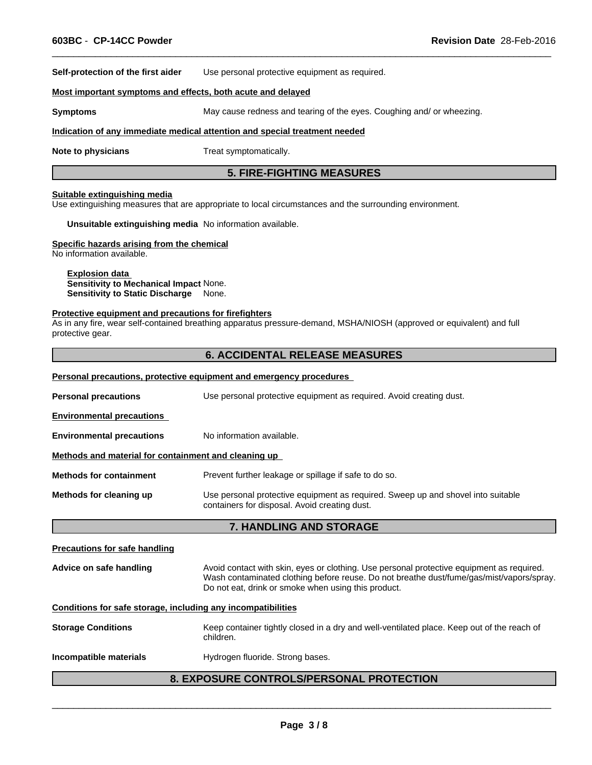**Self-protection of the first aider** Use personal protective equipment as required.

#### **Most important symptoms and effects, both acute and delayed**

**Symptoms** May cause redness and tearing of the eyes. Coughing and/ or wheezing.

#### **Indication of any immediate medical attention and special treatment needed**

**Note to physicians** Treat symptomatically.

# **5. FIRE-FIGHTING MEASURES**

 $\overline{\phantom{a}}$  ,  $\overline{\phantom{a}}$  ,  $\overline{\phantom{a}}$  ,  $\overline{\phantom{a}}$  ,  $\overline{\phantom{a}}$  ,  $\overline{\phantom{a}}$  ,  $\overline{\phantom{a}}$  ,  $\overline{\phantom{a}}$  ,  $\overline{\phantom{a}}$  ,  $\overline{\phantom{a}}$  ,  $\overline{\phantom{a}}$  ,  $\overline{\phantom{a}}$  ,  $\overline{\phantom{a}}$  ,  $\overline{\phantom{a}}$  ,  $\overline{\phantom{a}}$  ,  $\overline{\phantom{a}}$ 

#### **Suitable extinguishing media**

Use extinguishing measures that are appropriate to local circumstances and the surrounding environment.

**Unsuitable extinguishing media** No information available.

#### **Specific hazards arising from the chemical**

No information available.

**Explosion data Sensitivity to Mechanical Impact** None. **Sensitivity to Static Discharge** None.

#### **Protective equipment and precautions for firefighters**

As in any fire, wear self-contained breathing apparatus pressure-demand, MSHA/NIOSH (approved or equivalent) and full protective gear.

### **6. ACCIDENTAL RELEASE MEASURES**

#### **Personal precautions, protective equipment and emergency procedures**

| Methods for cleaning up                                                                            | Use personal protective equipment as required. Sweep up and shovel into suitable<br>containers for disposal. Avoid creating dust. |  |
|----------------------------------------------------------------------------------------------------|-----------------------------------------------------------------------------------------------------------------------------------|--|
| <b>Methods for containment</b>                                                                     | Prevent further leakage or spillage if safe to do so.                                                                             |  |
| Methods and material for containment and cleaning up                                               |                                                                                                                                   |  |
| <b>Environmental precautions</b>                                                                   | No information available.                                                                                                         |  |
| <b>Environmental precautions</b>                                                                   |                                                                                                                                   |  |
| Use personal protective equipment as required. Avoid creating dust.<br><b>Personal precautions</b> |                                                                                                                                   |  |
|                                                                                                    |                                                                                                                                   |  |

#### **7. HANDLING AND STORAGE**

#### **Precautions for safe handling**

**Advice on safe handling** Avoid contact with skin, eyes or clothing. Use personal protective equipment as required. Wash contaminated clothing before reuse. Do not breathe dust/fume/gas/mist/vapors/spray. Do not eat, drink or smoke when using this product.

#### **Conditions for safe storage, including any incompatibilities**

| <b>Storage Conditions</b> | Keep container tightly closed in a dry and well-ventilated place. Keep out of the reach of<br>children. |
|---------------------------|---------------------------------------------------------------------------------------------------------|
| Incompatible materials    | Hydrogen fluoride. Strong bases.                                                                        |

# **8. EXPOSURE CONTROLS/PERSONAL PROTECTION**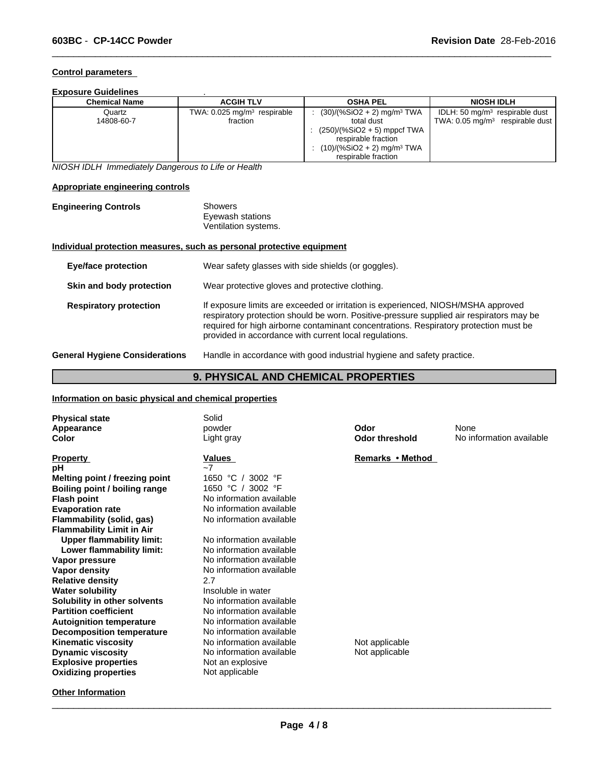# **Control parameters**

# **Exposure Guidelines** .

| Chemical Name        | <b>ACGIH TLV</b>                                      | <b>OSHA PEL</b>                                                                                                                                                                   | <b>NIOSH IDLH</b>                                                              |
|----------------------|-------------------------------------------------------|-----------------------------------------------------------------------------------------------------------------------------------------------------------------------------------|--------------------------------------------------------------------------------|
| Quartz<br>14808-60-7 | TWA: $0.025$ mg/m <sup>3</sup> respirable<br>fraction | $(30)/(%SiO2 + 2)$ mg/m <sup>3</sup> TWA<br>total dust<br>$(250)/(%SiO2 + 5)$ mppcf TWA<br>respirable fraction<br>$(10)/(%SiO2 + 2)$ mg/m <sup>3</sup> TWA<br>respirable fraction | IDLH: 50 $mg/m3$ respirable dust<br>TWA: $0.05 \text{ mg/m}^3$ respirable dust |

 $\overline{\phantom{a}}$  ,  $\overline{\phantom{a}}$  ,  $\overline{\phantom{a}}$  ,  $\overline{\phantom{a}}$  ,  $\overline{\phantom{a}}$  ,  $\overline{\phantom{a}}$  ,  $\overline{\phantom{a}}$  ,  $\overline{\phantom{a}}$  ,  $\overline{\phantom{a}}$  ,  $\overline{\phantom{a}}$  ,  $\overline{\phantom{a}}$  ,  $\overline{\phantom{a}}$  ,  $\overline{\phantom{a}}$  ,  $\overline{\phantom{a}}$  ,  $\overline{\phantom{a}}$  ,  $\overline{\phantom{a}}$ 

*NIOSH IDLH Immediately Dangerous to Life or Health*

### **Appropriate engineering controls**

| <b>Engineering Controls</b> | Showers              |  |
|-----------------------------|----------------------|--|
|                             | Eyewash stations     |  |
|                             | Ventilation systems. |  |

# **Individual protection measures, such as personal protective equipment**

| <b>Eye/face protection</b>            | Wear safety glasses with side shields (or goggles).                                                                                                                                                                                                                                                                              |
|---------------------------------------|----------------------------------------------------------------------------------------------------------------------------------------------------------------------------------------------------------------------------------------------------------------------------------------------------------------------------------|
| Skin and body protection              | Wear protective gloves and protective clothing.                                                                                                                                                                                                                                                                                  |
| <b>Respiratory protection</b>         | If exposure limits are exceeded or irritation is experienced, NIOSH/MSHA approved<br>respiratory protection should be worn. Positive-pressure supplied air respirators may be<br>required for high airborne contaminant concentrations. Respiratory protection must be<br>provided in accordance with current local regulations. |
| <b>General Hygiene Considerations</b> | Handle in accordance with good industrial hygiene and safety practice.                                                                                                                                                                                                                                                           |

# **9. PHYSICAL AND CHEMICAL PROPERTIES**

# **Information on basic physical and chemical properties**

| <b>Physical state</b><br>Appearance | Solid<br>powder          | Odor                  | None                     |
|-------------------------------------|--------------------------|-----------------------|--------------------------|
| Color                               | Light gray               | <b>Odor threshold</b> | No information available |
|                                     |                          |                       |                          |
| <b>Property</b>                     | <b>Values</b>            | Remarks • Method      |                          |
| рH                                  | $-7$                     |                       |                          |
| Melting point / freezing point      | 1650 $°C$<br>3002 °F     |                       |                          |
| Boiling point / boiling range       | 1650 °C / 3002 °F        |                       |                          |
| <b>Flash point</b>                  | No information available |                       |                          |
| <b>Evaporation rate</b>             | No information available |                       |                          |
| Flammability (solid, gas)           | No information available |                       |                          |
| <b>Flammability Limit in Air</b>    |                          |                       |                          |
| <b>Upper flammability limit:</b>    | No information available |                       |                          |
| Lower flammability limit:           | No information available |                       |                          |
| Vapor pressure                      | No information available |                       |                          |
| Vapor density                       | No information available |                       |                          |
| <b>Relative density</b>             | 2.7                      |                       |                          |
| <b>Water solubility</b>             | Insoluble in water       |                       |                          |
| Solubility in other solvents        | No information available |                       |                          |
| <b>Partition coefficient</b>        | No information available |                       |                          |
| <b>Autoignition temperature</b>     | No information available |                       |                          |
| <b>Decomposition temperature</b>    | No information available |                       |                          |
| <b>Kinematic viscosity</b>          | No information available | Not applicable        |                          |
| <b>Dynamic viscosity</b>            | No information available | Not applicable        |                          |
| <b>Explosive properties</b>         | Not an explosive         |                       |                          |
| <b>Oxidizing properties</b>         | Not applicable           |                       |                          |
| <b>Other Information</b>            |                          |                       |                          |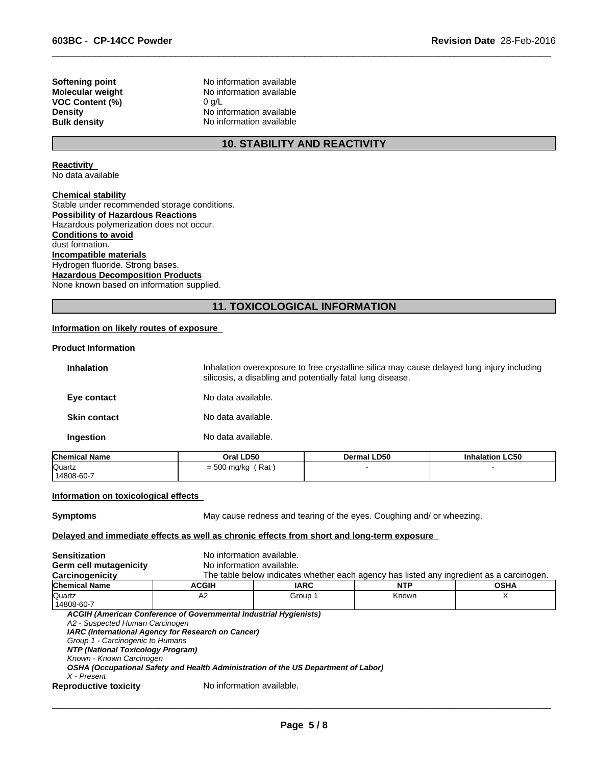**VOC Content (%)** 0 g/L

**Softening point** No information available **Molecular weight** No information available **Density** No information available **Bulk density** No information available

# **10. STABILITY AND REACTIVITY**

 $\overline{\phantom{a}}$  ,  $\overline{\phantom{a}}$  ,  $\overline{\phantom{a}}$  ,  $\overline{\phantom{a}}$  ,  $\overline{\phantom{a}}$  ,  $\overline{\phantom{a}}$  ,  $\overline{\phantom{a}}$  ,  $\overline{\phantom{a}}$  ,  $\overline{\phantom{a}}$  ,  $\overline{\phantom{a}}$  ,  $\overline{\phantom{a}}$  ,  $\overline{\phantom{a}}$  ,  $\overline{\phantom{a}}$  ,  $\overline{\phantom{a}}$  ,  $\overline{\phantom{a}}$  ,  $\overline{\phantom{a}}$ 

**Reactivity**  No data available

**Chemical stability**

Stable under recommended storage conditions. **Possibility of Hazardous Reactions** Hazardous polymerization does not occur. **Conditions to avoid** dust formation. **Incompatible materials** Hydrogen fluoride. Strong bases. **Hazardous Decomposition Products** None known based on information supplied.

# **11. TOXICOLOGICAL INFORMATION**

#### **Information on likely routes of exposure**

#### **Product Information**

| <b>Inhalation</b>   | Inhalation overexposure to free crystalline silica may cause delayed lung injury including<br>silicosis, a disabling and potentially fatal lung disease. |
|---------------------|----------------------------------------------------------------------------------------------------------------------------------------------------------|
| Eye contact         | No data available.                                                                                                                                       |
| <b>Skin contact</b> | No data available.                                                                                                                                       |
| Ingestion           | No data available.                                                                                                                                       |

| <b>Chemical Name</b> | Oral LD50            | Dermal LD50 | <b>Inhalation LC50</b> |  |
|----------------------|----------------------|-------------|------------------------|--|
| Quartz               | Rat<br>$= 500$ mg/kg |             |                        |  |
| 14808-60-7           |                      |             |                        |  |

#### **Information on toxicological effects**

**Symptoms** May cause redness and tearing of the eyes. Coughing and/ or wheezing.

 $\overline{\phantom{a}}$  ,  $\overline{\phantom{a}}$  ,  $\overline{\phantom{a}}$  ,  $\overline{\phantom{a}}$  ,  $\overline{\phantom{a}}$  ,  $\overline{\phantom{a}}$  ,  $\overline{\phantom{a}}$  ,  $\overline{\phantom{a}}$  ,  $\overline{\phantom{a}}$  ,  $\overline{\phantom{a}}$  ,  $\overline{\phantom{a}}$  ,  $\overline{\phantom{a}}$  ,  $\overline{\phantom{a}}$  ,  $\overline{\phantom{a}}$  ,  $\overline{\phantom{a}}$  ,  $\overline{\phantom{a}}$ 

#### **Delayed and immediate effects as well as chronic effects from short and long-term exposure**

| <b>Sensitization</b>              | No information available.                                                          |             |                                                                                          |             |
|-----------------------------------|------------------------------------------------------------------------------------|-------------|------------------------------------------------------------------------------------------|-------------|
| Germ cell mutagenicity            | No information available.                                                          |             |                                                                                          |             |
| Carcinogenicity                   |                                                                                    |             | The table below indicates whether each agency has listed any ingredient as a carcinogen. |             |
| <b>Chemical Name</b>              | <b>ACGIH</b>                                                                       | <b>IARC</b> | <b>NTP</b>                                                                               | <b>OSHA</b> |
| <b>Quartz</b>                     | A <sub>2</sub>                                                                     | Group 1     | Known                                                                                    |             |
| 14808-60-7                        |                                                                                    |             |                                                                                          |             |
|                                   | ACGIH (American Conference of Governmental Industrial Hygienists)                  |             |                                                                                          |             |
| A2 - Suspected Human Carcinogen   |                                                                                    |             |                                                                                          |             |
|                                   | IARC (International Agency for Research on Cancer)                                 |             |                                                                                          |             |
| Group 1 - Carcinogenic to Humans  |                                                                                    |             |                                                                                          |             |
| NTP (National Toxicology Program) |                                                                                    |             |                                                                                          |             |
| Known - Known Carcinogen          |                                                                                    |             |                                                                                          |             |
|                                   | OSHA (Occupational Safety and Health Administration of the US Department of Labor) |             |                                                                                          |             |
| X - Present                       |                                                                                    |             |                                                                                          |             |
| <b>Reproductive toxicity</b>      | No information available.                                                          |             |                                                                                          |             |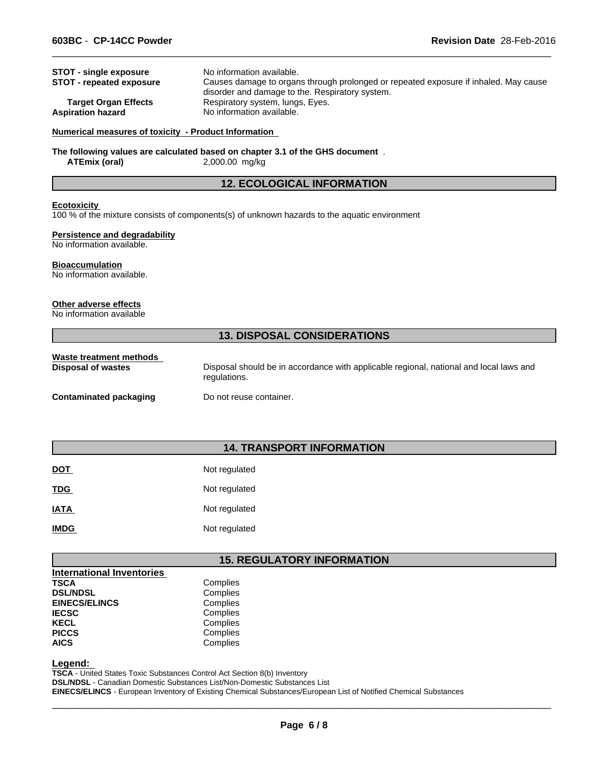| <b>STOT - single exposure</b><br><b>STOT - repeated exposure</b> | No information available.<br>Causes damage to organs through prolonged or repeated exposure if inhaled. May cause<br>disorder and damage to the. Respiratory system. |
|------------------------------------------------------------------|----------------------------------------------------------------------------------------------------------------------------------------------------------------------|
| <b>Target Organ Effects</b>                                      | Respiratory system, lungs, Eyes.                                                                                                                                     |
| <b>Aspiration hazard</b>                                         | No information available.                                                                                                                                            |

 $\overline{\phantom{a}}$  ,  $\overline{\phantom{a}}$  ,  $\overline{\phantom{a}}$  ,  $\overline{\phantom{a}}$  ,  $\overline{\phantom{a}}$  ,  $\overline{\phantom{a}}$  ,  $\overline{\phantom{a}}$  ,  $\overline{\phantom{a}}$  ,  $\overline{\phantom{a}}$  ,  $\overline{\phantom{a}}$  ,  $\overline{\phantom{a}}$  ,  $\overline{\phantom{a}}$  ,  $\overline{\phantom{a}}$  ,  $\overline{\phantom{a}}$  ,  $\overline{\phantom{a}}$  ,  $\overline{\phantom{a}}$ 

#### **Numerical measures of toxicity - Product Information**

**The following values are calculated based on chapter 3.1 of the GHS document** . **ATEmix (oral)** 2,000.00 mg/kg

### **12. ECOLOGICAL INFORMATION**

#### **Ecotoxicity**

100 % of the mixture consists of components(s) of unknown hazards to the aquatic environment

#### **Persistence and degradability**

No information available.

#### **Bioaccumulation**

No information available.

#### **Other adverse effects**

No information available

# **13. DISPOSAL CONSIDERATIONS**

| Waste treatment methods       |                                                                                                        |
|-------------------------------|--------------------------------------------------------------------------------------------------------|
| Disposal of wastes            | Disposal should be in accordance with applicable regional, national and local laws and<br>regulations. |
| <b>Contaminated packaging</b> | Do not reuse container.                                                                                |

# **14. TRANSPORT INFORMATION**

| <b>DOT</b>  | Not regulated |
|-------------|---------------|
| <b>TDG</b>  | Not regulated |
| <b>IATA</b> | Not regulated |
| <b>IMDG</b> | Not regulated |

# **15. REGULATORY INFORMATION**

| <b>International Inventories</b> |          |
|----------------------------------|----------|
| <b>TSCA</b>                      | Complies |
| <b>DSL/NDSL</b>                  | Complies |
| <b>EINECS/ELINCS</b>             | Complies |
| <b>IECSC</b>                     | Complies |
| <b>KECL</b>                      | Complies |
| <b>PICCS</b>                     | Complies |
| <b>AICS</b>                      | Complies |

**Legend:** 

**TSCA** - United States Toxic Substances Control Act Section 8(b) Inventory **DSL/NDSL** - Canadian Domestic Substances List/Non-Domestic Substances List **EINECS/ELINCS** - European Inventory of Existing Chemical Substances/European List of Notified Chemical Substances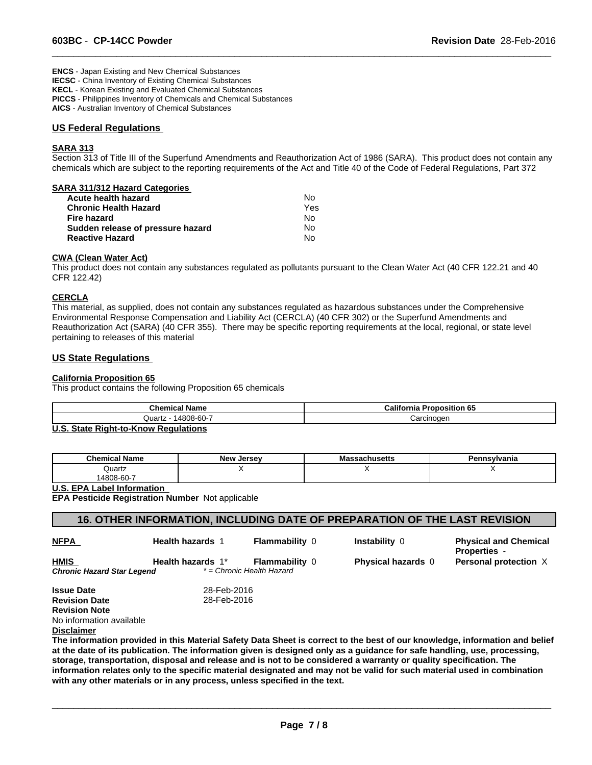**ENCS** - Japan Existing and New Chemical Substances **IECSC** - China Inventory of Existing Chemical Substances **KECL** - Korean Existing and Evaluated Chemical Substances **PICCS** - Philippines Inventory of Chemicals and Chemical Substances **AICS** - Australian Inventory of Chemical Substances

### **US Federal Regulations**

# **SARA 313**

Section 313 of Title III of the Superfund Amendments and Reauthorization Act of 1986 (SARA). This product does not contain any chemicals which are subject to the reporting requirements of the Act and Title 40 of the Code of Federal Regulations, Part 372

 $\overline{\phantom{a}}$  ,  $\overline{\phantom{a}}$  ,  $\overline{\phantom{a}}$  ,  $\overline{\phantom{a}}$  ,  $\overline{\phantom{a}}$  ,  $\overline{\phantom{a}}$  ,  $\overline{\phantom{a}}$  ,  $\overline{\phantom{a}}$  ,  $\overline{\phantom{a}}$  ,  $\overline{\phantom{a}}$  ,  $\overline{\phantom{a}}$  ,  $\overline{\phantom{a}}$  ,  $\overline{\phantom{a}}$  ,  $\overline{\phantom{a}}$  ,  $\overline{\phantom{a}}$  ,  $\overline{\phantom{a}}$ 

| <b>SARA 311/312 Hazard Categories</b> |     |  |
|---------------------------------------|-----|--|
| Acute health hazard                   | No  |  |
| <b>Chronic Health Hazard</b>          | Yes |  |
| Fire hazard                           | N٥  |  |
| Sudden release of pressure hazard     | No  |  |
| <b>Reactive Hazard</b>                | No  |  |

#### **CWA (Clean Water Act)**

This product does not contain any substances regulated as pollutants pursuant to the Clean Water Act (40 CFR 122.21 and 40 CFR 122.42)

#### **CERCLA**

This material, as supplied, does not contain any substances regulated as hazardous substances under the Comprehensive Environmental Response Compensation and Liability Act (CERCLA) (40 CFR 302) or the Superfund Amendments and Reauthorization Act (SARA) (40 CFR 355). There may be specific reporting requirements at the local, regional, or state level pertaining to releases of this material

### **US State Regulations**

### **California Proposition 65**

This product contains the following Proposition 65 chemicals

| <b>Chemical Name</b>       | California<br><b>Proposition 65</b> |
|----------------------------|-------------------------------------|
| 4808-60-7<br>Quartz<br>$-$ | Carcinoger                          |
| .<br>.                     |                                     |

#### **U.S. State Right-to-Know Regulations**

| <b>Chemical Name</b> | $ -$<br>New<br>Jersev | assachusetts | `nsylvania |
|----------------------|-----------------------|--------------|------------|
| Quartz               |                       |              | $\cdot$ .  |
| 14808-60-7           |                       |              |            |

**U.S. EPA Label Information** 

**EPA Pesticide Registration Number** Not applicable

| $\backslash$ 16. OTHER INFORMATION, INCLUDING DATE OF PREPARATION OF THE LAST REVISION $\backslash$ |  |
|-----------------------------------------------------------------------------------------------------|--|
|                                                                                                     |  |

| <b>NFPA</b>                | <b>Health hazards 1</b> | <b>Flammability 0</b>     | <b>Instability 0</b>                                                                                                                                                                                                                           | <b>Physical and Chemical</b><br><b>Properties -</b>                                                                         |
|----------------------------|-------------------------|---------------------------|------------------------------------------------------------------------------------------------------------------------------------------------------------------------------------------------------------------------------------------------|-----------------------------------------------------------------------------------------------------------------------------|
| <b>HMIS</b>                | Health hazards 1*       | <b>Flammability 0</b>     | <b>Physical hazards</b> 0                                                                                                                                                                                                                      | Personal protection X                                                                                                       |
| Chronic Hazard Star Legend |                         | * = Chronic Health Hazard |                                                                                                                                                                                                                                                |                                                                                                                             |
| <b>Issue Date</b>          | 28-Feb-2016             |                           |                                                                                                                                                                                                                                                |                                                                                                                             |
| <b>Revision Date</b>       | 28-Feb-2016             |                           |                                                                                                                                                                                                                                                |                                                                                                                             |
| <b>Revision Note</b>       |                         |                           |                                                                                                                                                                                                                                                |                                                                                                                             |
| No information available   |                         |                           |                                                                                                                                                                                                                                                |                                                                                                                             |
| <b>Disclaimer</b>          |                         |                           |                                                                                                                                                                                                                                                |                                                                                                                             |
|                            |                         |                           |                                                                                                                                                                                                                                                | The information provided in this Material Safety Data Sheet is correct to the best of our knowledge, information and belief |
|                            |                         |                           | at the date of its publication. The information given is designed only as a guidance for safe handling, use, processing,<br>storage, transportation, disposal and release and is not to be considered a warranty or quality specification. The |                                                                                                                             |
|                            |                         |                           |                                                                                                                                                                                                                                                |                                                                                                                             |

**information relates only to the specific material designated and may not be valid for such material used in combination with any other materials or in any process, unless specified in the text.**